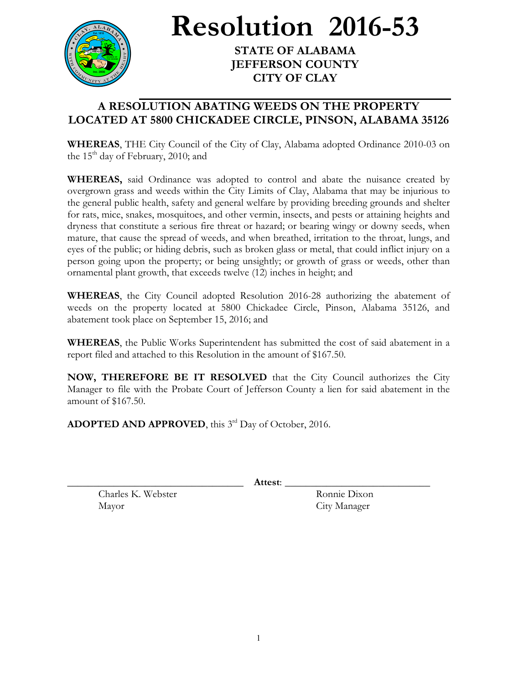

**Resolution 2016-53**

**STATE OF ALABAMA JEFFERSON COUNTY CITY OF CLAY**

## **A RESOLUTION ABATING WEEDS ON THE PROPERTY LOCATED AT 5800 CHICKADEE CIRCLE, PINSON, ALABAMA 35126**

**WHEREAS**, THE City Council of the City of Clay, Alabama adopted Ordinance 2010-03 on the  $15<sup>th</sup>$  day of February, 2010; and

**WHEREAS,** said Ordinance was adopted to control and abate the nuisance created by overgrown grass and weeds within the City Limits of Clay, Alabama that may be injurious to the general public health, safety and general welfare by providing breeding grounds and shelter for rats, mice, snakes, mosquitoes, and other vermin, insects, and pests or attaining heights and dryness that constitute a serious fire threat or hazard; or bearing wingy or downy seeds, when mature, that cause the spread of weeds, and when breathed, irritation to the throat, lungs, and eyes of the public; or hiding debris, such as broken glass or metal, that could inflict injury on a person going upon the property; or being unsightly; or growth of grass or weeds, other than ornamental plant growth, that exceeds twelve (12) inches in height; and

**WHEREAS**, the City Council adopted Resolution 2016-28 authorizing the abatement of weeds on the property located at 5800 Chickadee Circle, Pinson, Alabama 35126, and abatement took place on September 15, 2016; and

**WHEREAS**, the Public Works Superintendent has submitted the cost of said abatement in a report filed and attached to this Resolution in the amount of \$167.50.

**NOW, THEREFORE BE IT RESOLVED** that the City Council authorizes the City Manager to file with the Probate Court of Jefferson County a lien for said abatement in the amount of \$167.50.

ADOPTED AND APPROVED, this 3<sup>rd</sup> Day of October, 2016.

\_\_\_\_\_\_\_\_\_\_\_\_\_\_\_\_\_\_\_\_\_\_\_\_\_\_\_\_\_\_\_\_\_\_ **Attest**: \_\_\_\_\_\_\_\_\_\_\_\_\_\_\_\_\_\_\_\_\_\_\_\_\_\_\_\_

Charles K. Webster Ronnie Dixon Mayor City Manager